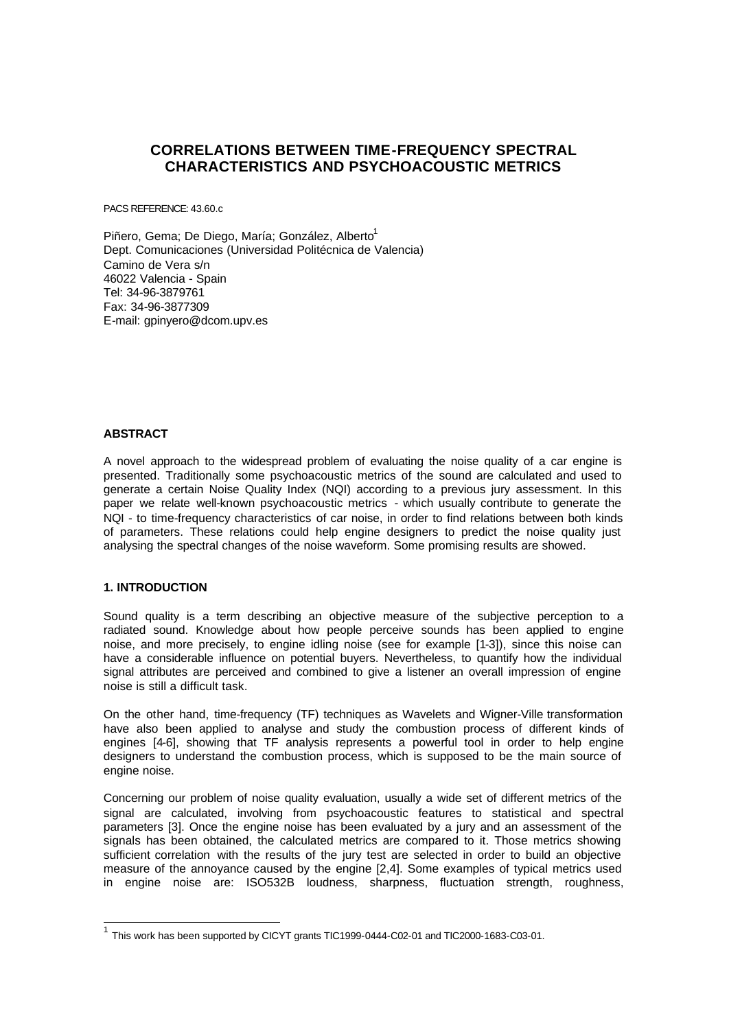# **CORRELATIONS BETWEEN TIME-FREQUENCY SPECTRAL CHARACTERISTICS AND PSYCHOACOUSTIC METRICS**

PACS REFERENCE: 43.60.c

Piñero, Gema; De Diego, María; González, Alberto<sup>1</sup> Dept. Comunicaciones (Universidad Politécnica de Valencia) Camino de Vera s/n 46022 Valencia - Spain Tel: 34-96-3879761 Fax: 34-96-3877309 E-mail: gpinyero@dcom.upv.es

# **ABSTRACT**

A novel approach to the widespread problem of evaluating the noise quality of a car engine is presented. Traditionally some psychoacoustic metrics of the sound are calculated and used to generate a certain Noise Quality Index (NQI) according to a previous jury assessment. In this paper we relate well-known psychoacoustic metrics - which usually contribute to generate the NQI - to time-frequency characteristics of car noise, in order to find relations between both kinds of parameters. These relations could help engine designers to predict the noise quality just analysing the spectral changes of the noise waveform. Some promising results are showed.

# **1. INTRODUCTION**

Sound quality is a term describing an objective measure of the subjective perception to a radiated sound. Knowledge about how people perceive sounds has been applied to engine noise, and more precisely, to engine idling noise (see for example [1-3]), since this noise can have a considerable influence on potential buyers. Nevertheless, to quantify how the individual signal attributes are perceived and combined to give a listener an overall impression of engine noise is still a difficult task.

On the other hand, time-frequency (TF) techniques as Wavelets and Wigner-Ville transformation have also been applied to analyse and study the combustion process of different kinds of engines [4-6], showing that TF analysis represents a powerful tool in order to help engine designers to understand the combustion process, which is supposed to be the main source of engine noise.

Concerning our problem of noise quality evaluation, usually a wide set of different metrics of the signal are calculated, involving from psychoacoustic features to statistical and spectral parameters [3]. Once the engine noise has been evaluated by a jury and an assessment of the signals has been obtained, the calculated metrics are compared to it. Those metrics showing sufficient correlation with the results of the jury test are selected in order to build an objective measure of the annoyance caused by the engine [2,4]. Some examples of typical metrics used in engine noise are: ISO532B loudness, sharpness, fluctuation strength, roughness,

<sup>&</sup>lt;sup>1</sup> This work has been supported by CICYT grants TIC1999-0444-C02-01 and TIC2000-1683-C03-01.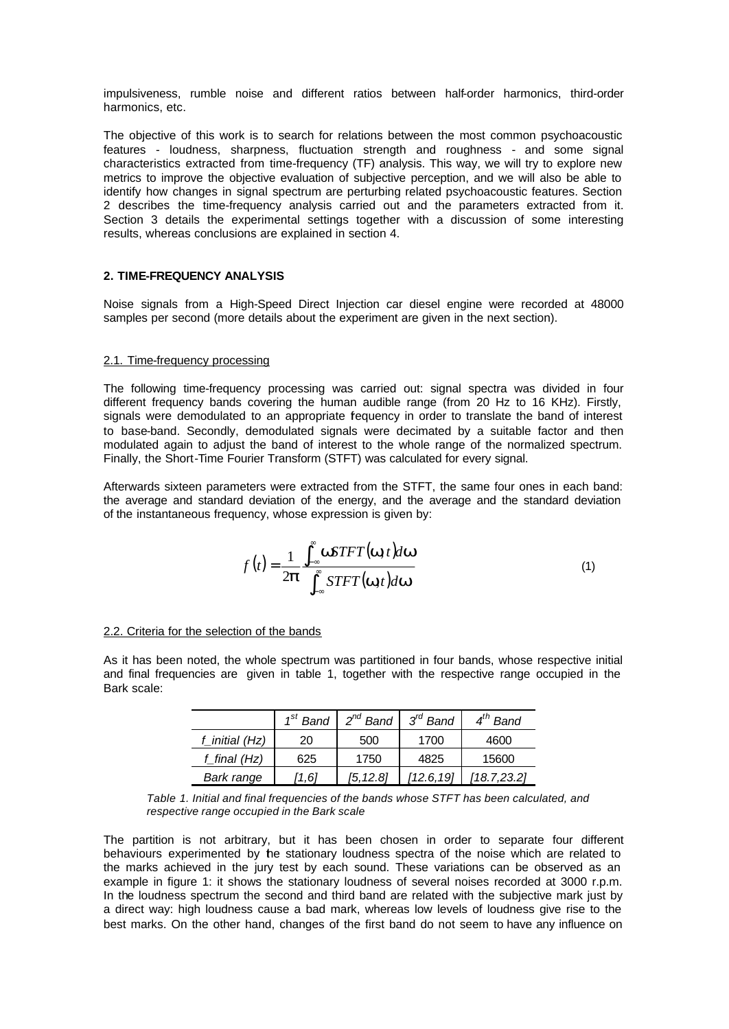impulsiveness, rumble noise and different ratios between half-order harmonics, third-order harmonics, etc.

The objective of this work is to search for relations between the most common psychoacoustic features - loudness, sharpness, fluctuation strength and roughness - and some signal characteristics extracted from time-frequency (TF) analysis. This way, we will try to explore new metrics to improve the objective evaluation of subjective perception, and we will also be able to identify how changes in signal spectrum are perturbing related psychoacoustic features. Section 2 describes the time-frequency analysis carried out and the parameters extracted from it. Section 3 details the experimental settings together with a discussion of some interesting results, whereas conclusions are explained in section 4.

# **2. TIME-FREQUENCY ANALYSIS**

Noise signals from a High-Speed Direct Injection car diesel engine were recorded at 48000 samples per second (more details about the experiment are given in the next section).

### 2.1. Time-frequency processing

The following time-frequency processing was carried out: signal spectra was divided in four different frequency bands covering the human audible range (from 20 Hz to 16 KHz). Firstly, signals were demodulated to an appropriate fequency in order to translate the band of interest to base-band. Secondly, demodulated signals were decimated by a suitable factor and then modulated again to adjust the band of interest to the whole range of the normalized spectrum. Finally, the Short-Time Fourier Transform (STFT) was calculated for every signal.

Afterwards sixteen parameters were extracted from the STFT, the same four ones in each band: the average and standard deviation of the energy, and the average and the standard deviation of the instantaneous frequency, whose expression is given by:

$$
f(t) = \frac{1}{2\boldsymbol{p}} \frac{\int_{-\infty}^{\infty} \mathbf{w} STFT(\mathbf{w}, t) d\mathbf{w}}{\int_{-\infty}^{\infty} STFT(\mathbf{w}, t) d\mathbf{w}}
$$
(1)

### 2.2. Criteria for the selection of the bands

As it has been noted, the whole spectrum was partitioned in four bands, whose respective initial and final frequencies are given in table 1, together with the respective range occupied in the Bark scale:

|                | $1st$ Band | 2 <sup>nd</sup> Band | $3^{rd}$ Band | $4^{th}$ Band |
|----------------|------------|----------------------|---------------|---------------|
| f initial (Hz) | 20         | 500                  | 1700          | 4600          |
| f final (Hz)   | 625        | 1750                 | 4825          | 15600         |
| Bark range     | 1.61       | [5.12.8]             | [12.6.19]     | 18.7.23.21    |

|  | Table 1. Initial and final frequencies of the bands whose STFT has been calculated, and |  |  |  |
|--|-----------------------------------------------------------------------------------------|--|--|--|
|  | respective range occupied in the Bark scale                                             |  |  |  |

The partition is not arbitrary, but it has been chosen in order to separate four different behaviours experimented by the stationary loudness spectra of the noise which are related to the marks achieved in the jury test by each sound. These variations can be observed as an example in figure 1: it shows the stationary loudness of several noises recorded at 3000 r.p.m. In the loudness spectrum the second and third band are related with the subjective mark just by a direct way: high loudness cause a bad mark, whereas low levels of loudness give rise to the best marks. On the other hand, changes of the first band do not seem to have any influence on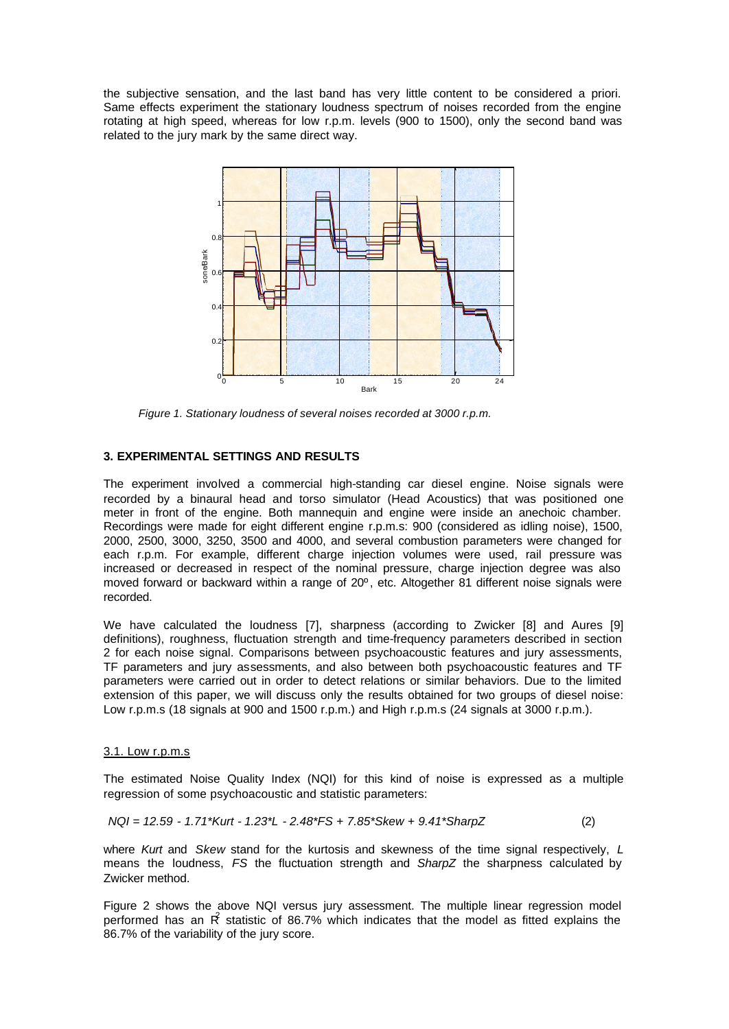the subjective sensation, and the last band has very little content to be considered a priori. Same effects experiment the stationary loudness spectrum of noises recorded from the engine rotating at high speed, whereas for low r.p.m. levels (900 to 1500), only the second band was related to the jury mark by the same direct way.



*Figure 1. Stationary loudness of several noises recorded at 3000 r.p.m.*

## **3. EXPERIMENTAL SETTINGS AND RESULTS**

The experiment involved a commercial high-standing car diesel engine. Noise signals were recorded by a binaural head and torso simulator (Head Acoustics) that was positioned one meter in front of the engine. Both mannequin and engine were inside an anechoic chamber. Recordings were made for eight different engine r.p.m.s: 900 (considered as idling noise), 1500, 2000, 2500, 3000, 3250, 3500 and 4000, and several combustion parameters were changed for each r.p.m. For example, different charge injection volumes were used, rail pressure was increased or decreased in respect of the nominal pressure, charge injection degree was also moved forward or backward within a range of 20º, etc. Altogether 81 different noise signals were recorded.

We have calculated the loudness [7], sharpness (according to Zwicker [8] and Aures [9] definitions), roughness, fluctuation strength and time-frequency parameters described in section 2 for each noise signal. Comparisons between psychoacoustic features and jury assessments, TF parameters and jury assessments, and also between both psychoacoustic features and TF parameters were carried out in order to detect relations or similar behaviors. Due to the limited extension of this paper, we will discuss only the results obtained for two groups of diesel noise: Low r.p.m.s (18 signals at 900 and 1500 r.p.m.) and High r.p.m.s (24 signals at 3000 r.p.m.).

### 3.1. Low r.p.m.s

The estimated Noise Quality Index (NQI) for this kind of noise is expressed as a multiple regression of some psychoacoustic and statistic parameters:

$$
NQI = 12.59 - 1.71*Kurt - 1.23*L - 2.48*FS + 7.85*Skew + 9.41*SharpZ
$$
 (2)

where *Kurt* and *Skew* stand for the kurtosis and skewness of the time signal respectively, *L* means the loudness, *FS* the fluctuation strength and *SharpZ* the sharpness calculated by Zwicker method.

Figure 2 shows the above NQI versus jury assessment. The multiple linear regression model performed has an  $\hat{R}$  statistic of 86.7% which indicates that the model as fitted explains the 86.7% of the variability of the jury score.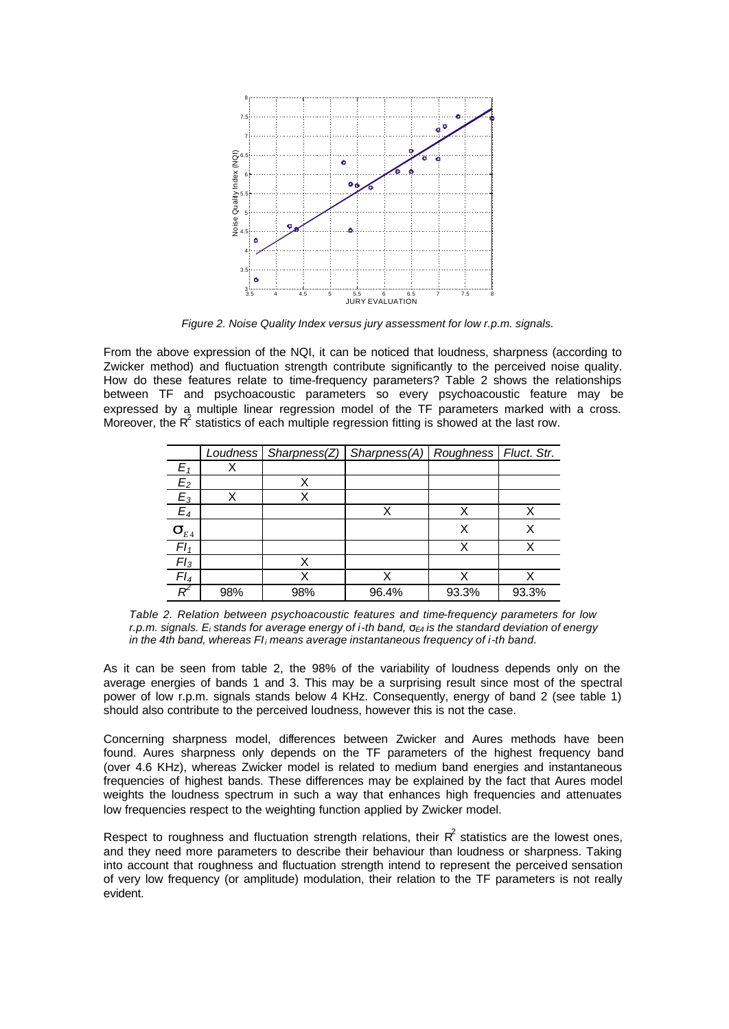

*Figure 2. Noise Quality Index versus jury assessment for low r.p.m. signals.*

From the above expression of the NQI, it can be noticed that loudness, sharpness (according to Zwicker method) and fluctuation strength contribute significantly to the perceived noise quality. How do these features relate to time-frequency parameters? Table 2 shows the relationships between TF and psychoacoustic parameters so every psychoacoustic feature may be expressed by a multiple linear regression model of the TF parameters marked with a cross. Moreover, the  $R^2$  statistics of each multiple regression fitting is showed at the last row.

|                   |     | Loudness   Sharpness(Z) | Sharpness(A)   Roughness   Fluct. Str. |       |       |
|-------------------|-----|-------------------------|----------------------------------------|-------|-------|
| $E_1$             |     |                         |                                        |       |       |
| E <sub>2</sub>    |     |                         |                                        |       |       |
| $E_3$             | X   |                         |                                        |       |       |
| $E_4$             |     |                         |                                        |       |       |
| $\mathbf{S}_{E4}$ |     |                         |                                        |       |       |
| FI <sub>1</sub>   |     |                         |                                        | Х     |       |
| FI <sub>3</sub>   |     |                         |                                        |       |       |
| $Fl_4$            |     | X                       |                                        | χ     |       |
|                   | 98% | 98%                     | 96.4%                                  | 93.3% | 93.3% |

*Table 2. Relation between psychoacoustic features and time-frequency parameters for low r.p.m. signals. Ei stands for average energy of i-th band, sE4 is the standard deviation of energy in the 4th band, whereas FIi means average instantaneous frequency of i-th band.*

As it can be seen from table 2, the 98% of the variability of loudness depends only on the average energies of bands 1 and 3. This may be a surprising result since most of the spectral power of low r.p.m. signals stands below 4 KHz. Consequently, energy of band 2 (see table 1) should also contribute to the perceived loudness, however this is not the case.

Concerning sharpness model, differences between Zwicker and Aures methods have been found. Aures sharpness only depends on the TF parameters of the highest frequency band (over 4.6 KHz), whereas Zwicker model is related to medium band energies and instantaneous frequencies of highest bands. These differences may be explained by the fact that Aures model weights the loudness spectrum in such a way that enhances high frequencies and attenuates low frequencies respect to the weighting function applied by Zwicker model.

Respect to roughness and fluctuation strength relations, their  $R^2$  statistics are the lowest ones, and they need more parameters to describe their behaviour than loudness or sharpness. Taking into account that roughness and fluctuation strength intend to represent the perceived sensation of very low frequency (or amplitude) modulation, their relation to the TF parameters is not really evident.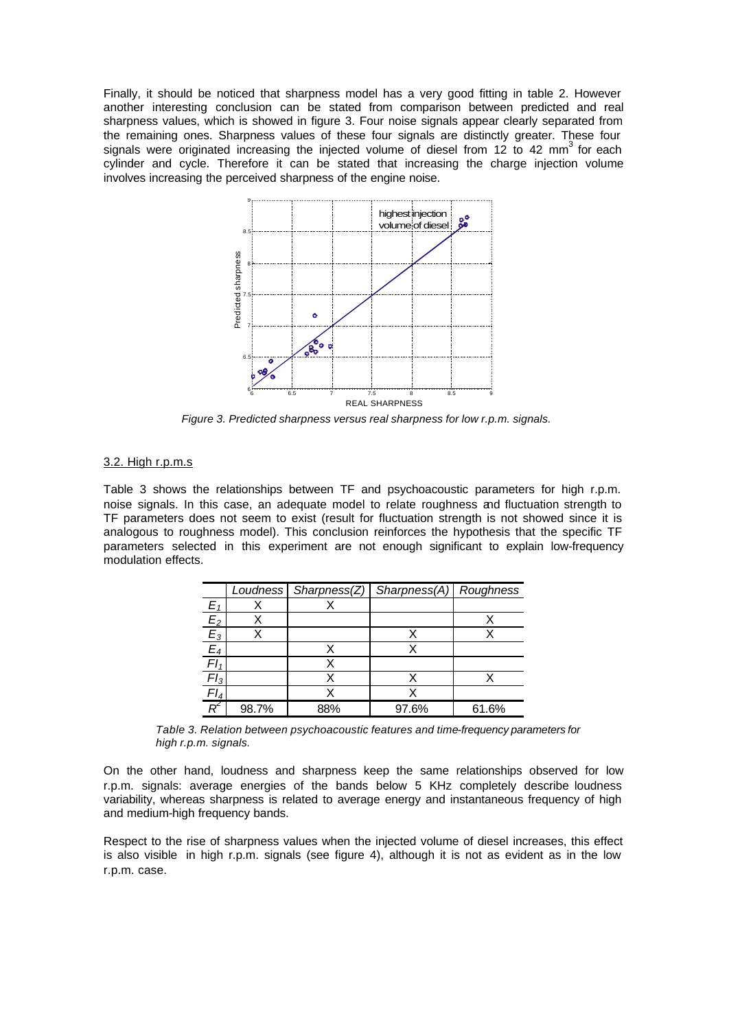Finally, it should be noticed that sharpness model has a very good fitting in table 2. However another interesting conclusion can be stated from comparison between predicted and real sharpness values, which is showed in figure 3. Four noise signals appear clearly separated from the remaining ones. Sharpness values of these four signals are distinctly greater. These four signals were originated increasing the injected volume of diesel from 12 to 42 mm<sup>3</sup> for each cylinder and cycle. Therefore it can be stated that increasing the charge injection volume involves increasing the perceived sharpness of the engine noise.



*Figure 3. Predicted sharpness versus real sharpness for low r.p.m. signals.*

## 3.2. High r.p.m.s

Table 3 shows the relationships between TF and psychoacoustic parameters for high r.p.m. noise signals. In this case, an adequate model to relate roughness and fluctuation strength to TF parameters does not seem to exist (result for fluctuation strength is not showed since it is analogous to roughness model). This conclusion reinforces the hypothesis that the specific TF parameters selected in this experiment are not enough significant to explain low-frequency modulation effects.

|         |       | Loudness Sharpness(Z) | Sharpness(A) Roughness |       |
|---------|-------|-----------------------|------------------------|-------|
| E,      |       |                       |                        |       |
| $\Xi_2$ |       |                       |                        |       |
| $E_3$   |       |                       |                        |       |
| $E_4$   |       |                       |                        |       |
|         |       |                       |                        |       |
| $Fl_3$  |       |                       |                        |       |
|         |       |                       |                        |       |
|         | 98.7% | 88%                   | 97.6%                  | 61.6% |

*Table 3. Relation between psychoacoustic features and time-frequency parameters for high r.p.m. signals.*

On the other hand, loudness and sharpness keep the same relationships observed for low r.p.m. signals: average energies of the bands below 5 KHz completely describe loudness variability, whereas sharpness is related to average energy and instantaneous frequency of high and medium-high frequency bands.

Respect to the rise of sharpness values when the injected volume of diesel increases, this effect is also visible in high r.p.m. signals (see figure 4), although it is not as evident as in the low r.p.m. case.